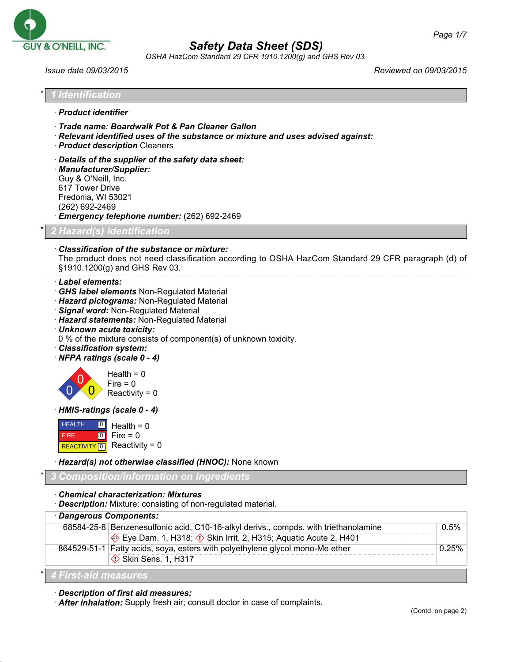

*OSHA HazCom Standard 29 CFR 1910.1200(g) and GHS Rev 03.*

| Issue date 09/03/2015                                                                                                                                                                                                                                                                                                                                              | Reviewed on 09/03/2015                                                                             |
|--------------------------------------------------------------------------------------------------------------------------------------------------------------------------------------------------------------------------------------------------------------------------------------------------------------------------------------------------------------------|----------------------------------------------------------------------------------------------------|
| I Identification                                                                                                                                                                                                                                                                                                                                                   |                                                                                                    |
| · Product identifier                                                                                                                                                                                                                                                                                                                                               |                                                                                                    |
| Trade name: Boardwalk Pot & Pan Cleaner Gallon<br>· Relevant identified uses of the substance or mixture and uses advised against:<br>· Product description Cleaners                                                                                                                                                                                               |                                                                                                    |
| Details of the supplier of the safety data sheet:<br>· Manufacturer/Supplier:<br>Guy & O'Neill, Inc.<br>617 Tower Drive<br>Fredonia, WI 53021<br>(262) 692-2469<br><b>Emergency telephone number:</b> (262) 692-2469                                                                                                                                               |                                                                                                    |
| 2 Hazard(s) identification                                                                                                                                                                                                                                                                                                                                         |                                                                                                    |
| Classification of the substance or mixture:<br>§1910.1200(g) and GHS Rev 03.                                                                                                                                                                                                                                                                                       | The product does not need classification according to OSHA HazCom Standard 29 CFR paragraph (d) of |
| · Label elements:<br>GHS label elements Non-Regulated Material<br>· Hazard pictograms: Non-Regulated Material<br>· Signal word: Non-Regulated Material<br>· Hazard statements: Non-Regulated Material<br>· Unknown acute toxicity:<br>0 % of the mixture consists of component(s) of unknown toxicity.<br>· Classification system:<br>· NFPA ratings (scale 0 - 4) |                                                                                                    |
| Health = $0$<br>Fire $= 0$<br>Reactivity = $0$                                                                                                                                                                                                                                                                                                                     |                                                                                                    |
| HMIS-ratings (scale 0 - 4)                                                                                                                                                                                                                                                                                                                                         |                                                                                                    |
| <b>HEALTH</b><br> 0 <br>Health = $0$<br> 0 <br>Fire $= 0$<br><b>FIRE</b><br>Reactivity = $0$<br>REACTIVITY <sup>0</sup>                                                                                                                                                                                                                                            |                                                                                                    |
| · Hazard(s) not otherwise classified (HNOC): None known                                                                                                                                                                                                                                                                                                            |                                                                                                    |
| Composition/information on ingredients                                                                                                                                                                                                                                                                                                                             |                                                                                                    |
| <b>Chemical characterization: Mixtures</b><br><b>Description:</b> Mixture: consisting of non-regulated material.                                                                                                                                                                                                                                                   |                                                                                                    |
| · Dangerous Components:                                                                                                                                                                                                                                                                                                                                            |                                                                                                    |
| 68584-25-8 Benzenesulfonic acid, C10-16-alkyl derivs., compds. with triethanolamine<br>$\triangle$ Eye Dam 1 H210: $\triangle$ Ckin Irrit 2 H215: Aguatic Aguta 2 H401                                                                                                                                                                                             | 0.5%                                                                                               |

· *Description of first aid measures:*

· *After inhalation:* Supply fresh air; consult doctor in case of complaints.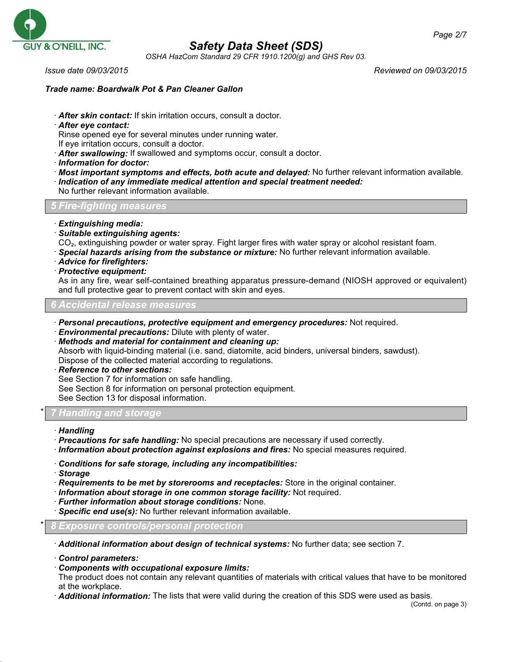

*OSHA HazCom Standard 29 CFR 1910.1200(g) and GHS Rev 03.*

*Issue date 09/03/2015 Reviewed on 09/03/2015*

#### *Trade name: Boardwalk Pot & Pan Cleaner Gallon*

- · *After skin contact:* If skin irritation occurs, consult a doctor.
- · *After eye contact:*
- Rinse opened eye for several minutes under running water.
- If eye irritation occurs, consult a doctor.
- · *After swallowing:* If swallowed and symptoms occur, consult a doctor.
- · *Information for doctor:*
- · *Most important symptoms and effects, both acute and delayed:* No further relevant information available.
- · *Indication of any immediate medical attention and special treatment needed:*

### No further relevant information available.

#### *5 Fire-fighting measures*

- · *Extinguishing media:*
- · *Suitable extinguishing agents:*
- CO₂, extinguishing powder or water spray. Fight larger fires with water spray or alcohol resistant foam.
- · *Special hazards arising from the substance or mixture:* No further relevant information available.
- · *Advice for firefighters:*
- · *Protective equipment:*

As in any fire, wear self-contained breathing apparatus pressure-demand (NIOSH approved or equivalent) and full protective gear to prevent contact with skin and eyes.

### *6 Accidental release measures*

- · *Personal precautions, protective equipment and emergency procedures:* Not required.
- · *Environmental precautions:* Dilute with plenty of water.
- · *Methods and material for containment and cleaning up:* Absorb with liquid-binding material (i.e. sand, diatomite, acid binders, universal binders, sawdust). Dispose of the collected material according to regulations.
- · *Reference to other sections:*
- See Section 7 for information on safe handling.
- See Section 8 for information on personal protection equipment.

See Section 13 for disposal information.

### \* *7 Handling and storage*

- · *Handling*
- · *Precautions for safe handling:* No special precautions are necessary if used correctly.
- · *Information about protection against explosions and fires:* No special measures required.
- · *Conditions for safe storage, including any incompatibilities:*
- · *Storage*
- · *Requirements to be met by storerooms and receptacles:* Store in the original container.
- · *Information about storage in one common storage facility:* Not required.
- · *Further information about storage conditions:* None.
- · *Specific end use(s):* No further relevant information available.

### \* *8 Exposure controls/personal protection*

· *Additional information about design of technical systems:* No further data; see section 7.

- · *Control parameters:*
- · *Components with occupational exposure limits:*
- The product does not contain any relevant quantities of materials with critical values that have to be monitored at the workplace.
- · *Additional information:* The lists that were valid during the creation of this SDS were used as basis.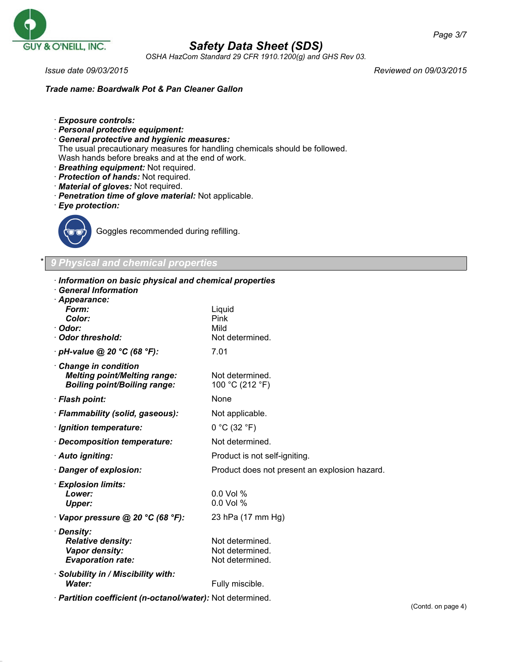

*OSHA HazCom Standard 29 CFR 1910.1200(g) and GHS Rev 03.*

*Issue date 09/03/2015 Reviewed on 09/03/2015*

*Trade name: Boardwalk Pot & Pan Cleaner Gallon*

- · *Exposure controls:*
- · *Personal protective equipment:*
- · *General protective and hygienic measures:* The usual precautionary measures for handling chemicals should be followed. Wash hands before breaks and at the end of work.
- · *Breathing equipment:* Not required.
- · *Protection of hands:* Not required.
- · *Material of gloves:* Not required.
- · *Penetration time of glove material:* Not applicable.
- · *Eye protection:*



Goggles recommended during refilling.

### \* *9 Physical and chemical properties*

| Information on basic physical and chemical properties<br><b>General Information</b><br>· Appearance: |                                                       |
|------------------------------------------------------------------------------------------------------|-------------------------------------------------------|
| Form:<br>Color:<br>· Odor:<br>Odor threshold:                                                        | Liquid<br>Pink<br>Mild<br>Not determined.             |
| · pH-value @ 20 °C (68 °F):                                                                          | 7.01                                                  |
| Change in condition<br><b>Melting point/Melting range:</b><br><b>Boiling point/Boiling range:</b>    | Not determined.<br>100 °C (212 °F)                    |
| · Flash point:                                                                                       | None                                                  |
| · Flammability (solid, gaseous):                                                                     | Not applicable.                                       |
| · Ignition temperature:                                                                              | 0 °C (32 °F)                                          |
| · Decomposition temperature:                                                                         | Not determined.                                       |
| · Auto igniting:                                                                                     | Product is not self-igniting.                         |
| · Danger of explosion:                                                                               | Product does not present an explosion hazard.         |
| · Explosion limits:<br>Lower:<br><b>Upper:</b>                                                       | $0.0$ Vol %<br>$0.0$ Vol %                            |
| $\cdot$ Vapor pressure @ 20 °C (68 °F):                                                              | 23 hPa (17 mm Hg)                                     |
| · Density:<br><b>Relative density:</b><br>Vapor density:<br><b>Evaporation rate:</b>                 | Not determined.<br>Not determined.<br>Not determined. |
| · Solubility in / Miscibility with:<br><b>Water:</b>                                                 | Fully miscible.                                       |
| · Partition coefficient (n-octanol/water): Not determined.                                           |                                                       |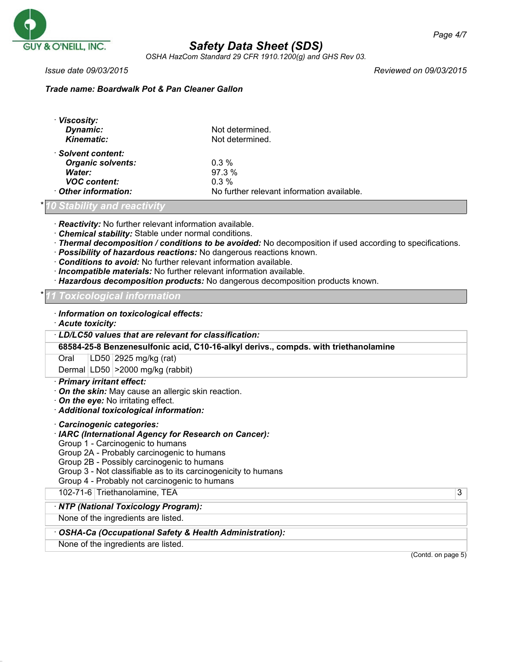

*OSHA HazCom Standard 29 CFR 1910.1200(g) and GHS Rev 03.*

*Issue date 09/03/2015 Reviewed on 09/03/2015*

### *Trade name: Boardwalk Pot & Pan Cleaner Gallon*

| · Viscosity:<br>Dynamic:<br><b>Kinematic:</b>                                   | Not determined.<br>Not determined.         |
|---------------------------------------------------------------------------------|--------------------------------------------|
| · Solvent content:<br><b>Organic solvents:</b><br>Water:<br><b>VOC</b> content: | $0.3\%$<br>97.3%<br>$0.3\%$                |
| Other information:                                                              | No further relevant information available. |

### \* *10 Stability and reactivity*

· *Reactivity:* No further relevant information available.

- · *Chemical stability:* Stable under normal conditions.
- · *Thermal decomposition / conditions to be avoided:* No decomposition if used according to specifications.
- · *Possibility of hazardous reactions:* No dangerous reactions known.
- · *Conditions to avoid:* No further relevant information available.
- · *Incompatible materials:* No further relevant information available.
- · *Hazardous decomposition products:* No dangerous decomposition products known.

#### \* *11 Toxicological information*

- · *Information on toxicological effects:*
- · *Acute toxicity:*

· *LD/LC50 values that are relevant for classification:*

**68584-25-8 Benzenesulfonic acid, C10-16-alkyl derivs., compds. with triethanolamine**

Oral LD50 2925 mg/kg (rat)

Dermal LD50 >2000 mg/kg (rabbit)

#### · *Primary irritant effect:*

- · *On the skin:* May cause an allergic skin reaction.
- · *On the eye:* No irritating effect.
- · *Additional toxicological information:*
- · *Carcinogenic categories:*
- · *IARC (International Agency for Research on Cancer):*
- Group 1 Carcinogenic to humans

Group 2A - Probably carcinogenic to humans

Group 2B - Possibly carcinogenic to humans

- Group 3 Not classifiable as to its carcinogenicity to humans
- Group 4 Probably not carcinogenic to humans

102-71-6 Triethanolamine, TEA 3

#### · *NTP (National Toxicology Program):*

None of the ingredients are listed.

#### · *OSHA-Ca (Occupational Safety & Health Administration):*

None of the ingredients are listed.

(Contd. on page 5)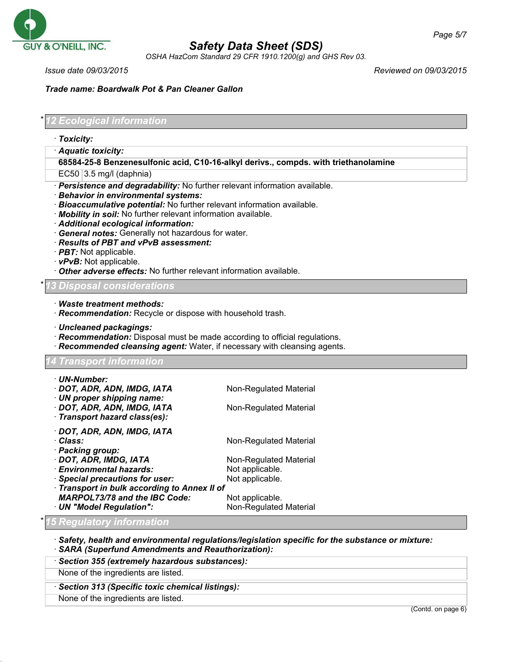

*OSHA HazCom Standard 29 CFR 1910.1200(g) and GHS Rev 03.*

*Issue date 09/03/2015 Reviewed on 09/03/2015*

*Page 5/7*

*Trade name: Boardwalk Pot & Pan Cleaner Gallon*

\* *12 Ecological information* · *Toxicity:* · *Aquatic toxicity:* **68584-25-8 Benzenesulfonic acid, C10-16-alkyl derivs., compds. with triethanolamine**  $EC50$  3.5 mg/l (daphnia) · *Persistence and degradability:* No further relevant information available. · *Behavior in environmental systems:* · *Bioaccumulative potential:* No further relevant information available. · *Mobility in soil:* No further relevant information available. · *Additional ecological information:* · *General notes:* Generally not hazardous for water. · *Results of PBT and vPvB assessment:* · *PBT:* Not applicable. · *vPvB:* Not applicable. · *Other adverse effects:* No further relevant information available. \* *13 Disposal considerations* · *Waste treatment methods:* · *Recommendation:* Recycle or dispose with household trash. · *Uncleaned packagings:* · *Recommendation:* Disposal must be made according to official regulations. · *Recommended cleansing agent:* Water, if necessary with cleansing agents. *14 Transport information* · *UN-Number:* · **DOT, ADR, ADN, IMDG, IATA** Non-Regulated Material · *UN proper shipping name:* · **DOT, ADR, ADN, IMDG, IATA** Non-Regulated Material · *Transport hazard class(es):* · *DOT, ADR, ADN, IMDG, IATA* · *Class:* Non-Regulated Material · *Packing group:* · **DOT, ADR, IMDG, IATA** Non-Regulated Material **Environmental hazards:** Not applicable. · *Special precautions for user:* Not applicable. · *Transport in bulk according to Annex II of MARPOL73/78 and the IBC Code:* Not applicable. · *UN "Model Regulation":* Non-Regulated Material \* *15 Regulatory information* · *Safety, health and environmental regulations/legislation specific for the substance or mixture:* · *SARA (Superfund Amendments and Reauthorization):* · *Section 355 (extremely hazardous substances):* None of the ingredients are listed.

#### · *Section 313 (Specific toxic chemical listings):*

None of the ingredients are listed.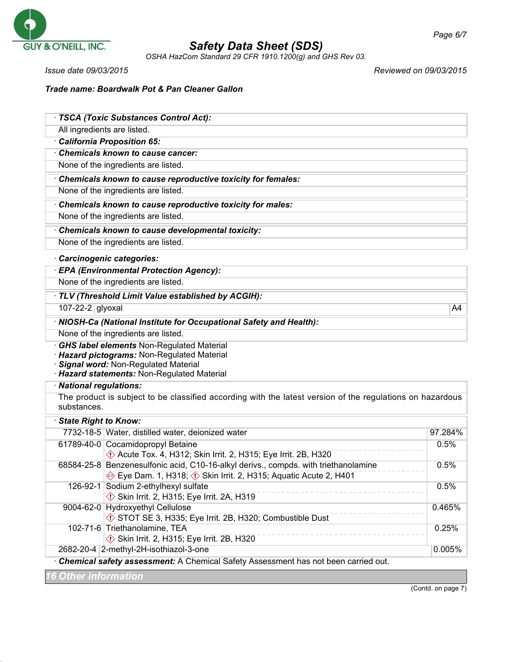

*OSHA HazCom Standard 29 CFR 1910.1200(g) and GHS Rev 03.*

*Issue date 09/03/2015 Reviewed on 09/03/2015*

*Trade name: Boardwalk Pot & Pan Cleaner Gallon*

|                                                                                      | · TSCA (Toxic Substances Control Act):                                                                          |         |
|--------------------------------------------------------------------------------------|-----------------------------------------------------------------------------------------------------------------|---------|
| All ingredients are listed.                                                          |                                                                                                                 |         |
|                                                                                      | California Proposition 65:                                                                                      |         |
|                                                                                      | Chemicals known to cause cancer:                                                                                |         |
|                                                                                      | None of the ingredients are listed.                                                                             |         |
|                                                                                      | Chemicals known to cause reproductive toxicity for females:                                                     |         |
|                                                                                      | None of the ingredients are listed.                                                                             |         |
|                                                                                      | Chemicals known to cause reproductive toxicity for males:                                                       |         |
|                                                                                      | None of the ingredients are listed.                                                                             |         |
|                                                                                      | Chemicals known to cause developmental toxicity:                                                                |         |
|                                                                                      | None of the ingredients are listed.                                                                             |         |
|                                                                                      | Carcinogenic categories:                                                                                        |         |
|                                                                                      | · EPA (Environmental Protection Agency):                                                                        |         |
| None of the ingredients are listed.                                                  |                                                                                                                 |         |
| TLV (Threshold Limit Value established by ACGIH):                                    |                                                                                                                 |         |
| 107-22-2 glyoxal                                                                     |                                                                                                                 | A4      |
| · NIOSH-Ca (National Institute for Occupational Safety and Health):                  |                                                                                                                 |         |
|                                                                                      | None of the ingredients are listed.                                                                             |         |
|                                                                                      | <b>GHS label elements Non-Regulated Material</b>                                                                |         |
|                                                                                      | Hazard pictograms: Non-Regulated Material                                                                       |         |
| Signal word: Non-Regulated Material<br>· Hazard statements: Non-Regulated Material   |                                                                                                                 |         |
| · National regulations:                                                              |                                                                                                                 |         |
|                                                                                      | The product is subject to be classified according with the latest version of the regulations on hazardous       |         |
| substances.                                                                          |                                                                                                                 |         |
| · State Right to Know:                                                               |                                                                                                                 |         |
|                                                                                      | 7732-18-5 Water, distilled water, deionized water                                                               | 97.284% |
|                                                                                      | 61789-40-0 Cocamidopropyl Betaine                                                                               | 0.5%    |
|                                                                                      | ♦ Acute Tox. 4, H312; Skin Irrit. 2, H315; Eye Irrit. 2B, H320                                                  |         |
|                                                                                      | 68584-25-8 Benzenesulfonic acid, C10-16-alkyl derivs., compds. with triethanolamine                             | 0.5%    |
|                                                                                      | Eye Dam. 1, H318; $\Diamond$ Skin Irrit. 2, H315; Aquatic Acute 2, H401<br>126-92-1 Sodium 2-ethylhexyl sulfate | 0.5%    |
|                                                                                      | Skin Irrit. 2, H315; Eye Irrit. 2A, H319                                                                        |         |
|                                                                                      | 9004-62-0 Hydroxyethyl Cellulose                                                                                | 0.465%  |
|                                                                                      | STOT SE 3, H335; Eye Irrit. 2B, H320; Combustible Dust                                                          |         |
|                                                                                      | 102-71-6 Triethanolamine, TEA                                                                                   | 0.25%   |
|                                                                                      | Skin Irrit. 2, H315; Eye Irrit. 2B, H320                                                                        |         |
|                                                                                      | 2682-20-4 2-methyl-2H-isothiazol-3-one                                                                          | 0.005%  |
| · Chemical safety assessment: A Chemical Safety Assessment has not been carried out. |                                                                                                                 |         |
| <b>6 Other information</b>                                                           |                                                                                                                 |         |

(Contd. on page 7)